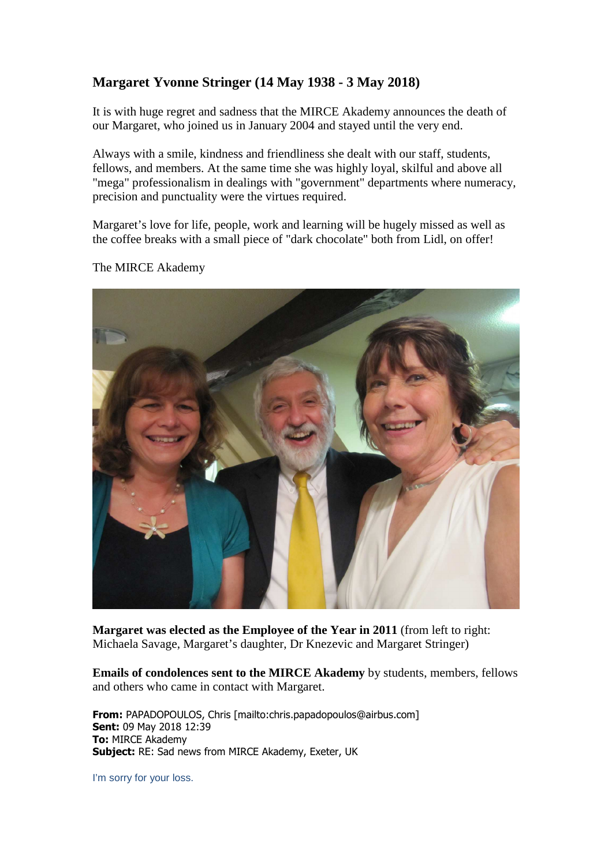# **Margaret Yvonne Stringer (14 May 1938 - 3 May 2018)**

It is with huge regret and sadness that the MIRCE Akademy announces the death of our Margaret, who joined us in January 2004 and stayed until the very end.

Always with a smile, kindness and friendliness she dealt with our staff, students, fellows, and members. At the same time she was highly loyal, skilful and above all "mega" professionalism in dealings with "government" departments where numeracy, precision and punctuality were the virtues required.

Margaret's love for life, people, work and learning will be hugely missed as well as the coffee breaks with a small piece of "dark chocolate" both from Lidl, on offer!



The MIRCE Akademy

**Margaret was elected as the Employee of the Year in 2011** (from left to right: Michaela Savage, Margaret's daughter, Dr Knezevic and Margaret Stringer)

**Emails of condolences sent to the MIRCE Akademy** by students, members, fellows and others who came in contact with Margaret.

**From:** PAPADOPOULOS, Chris [mailto:chris.papadopoulos@airbus.com] **Sent:** 09 May 2018 12:39 **To:** MIRCE Akademy **Subject:** RE: Sad news from MIRCE Akademy, Exeter, UK

I'm sorry for your loss.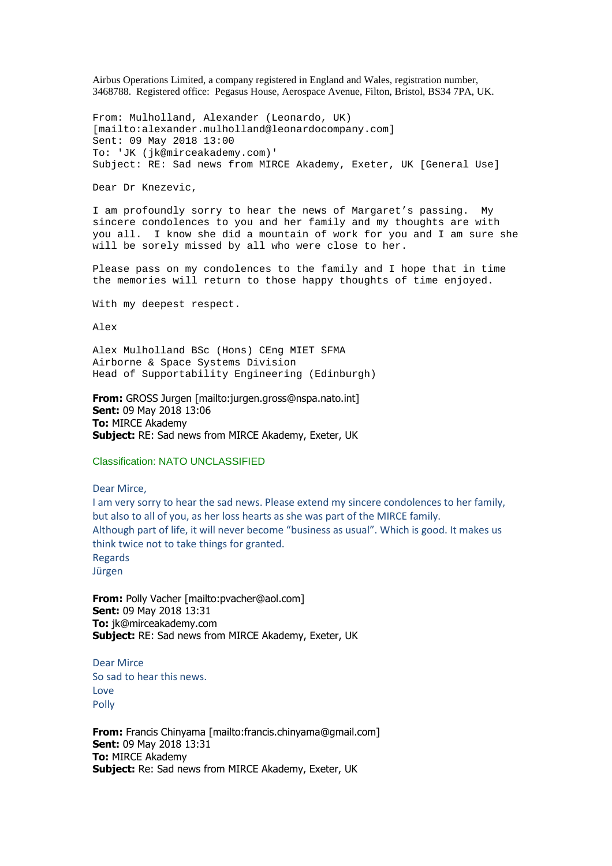Airbus Operations Limited, a company registered in England and Wales, registration number, 3468788. Registered office: Pegasus House, Aerospace Avenue, Filton, Bristol, BS34 7PA, UK.

From: Mulholland, Alexander (Leonardo, UK) [mailto:alexander.mulholland@leonardocompany.com] Sent: 09 May 2018 13:00 To: 'JK (jk@mirceakademy.com)' Subject: RE: Sad news from MIRCE Akademy, Exeter, UK [General Use]

Dear Dr Knezevic,

I am profoundly sorry to hear the news of Margaret's passing. My sincere condolences to you and her family and my thoughts are with you all. I know she did a mountain of work for you and I am sure she will be sorely missed by all who were close to her.

Please pass on my condolences to the family and I hope that in time the memories will return to those happy thoughts of time enjoyed.

With my deepest respect.

Alex

Alex Mulholland BSc (Hons) CEng MIET SFMA Airborne & Space Systems Division Head of Supportability Engineering (Edinburgh)

**From:** GROSS Jurgen [mailto:jurgen.gross@nspa.nato.int] **Sent:** 09 May 2018 13:06 **To:** MIRCE Akademy **Subject:** RE: Sad news from MIRCE Akademy, Exeter, UK

#### Classification: NATO UNCLASSIFIED

#### Dear Mirce,

I am very sorry to hear the sad news. Please extend my sincere condolences to her family, but also to all of you, as her loss hearts as she was part of the MIRCE family. Although part of life, it will never become "business as usual". Which is good. It makes us think twice not to take things for granted. Regards Jürgen

**From:** Polly Vacher [mailto:pvacher@aol.com] **Sent:** 09 May 2018 13:31 **To:** jk@mirceakademy.com **Subject:** RE: Sad news from MIRCE Akademy, Exeter, UK

Dear Mirce So sad to hear this news. Love Polly

**From:** Francis Chinyama [mailto:francis.chinyama@gmail.com] **Sent:** 09 May 2018 13:31 **To:** MIRCE Akademy **Subject:** Re: Sad news from MIRCE Akademy, Exeter, UK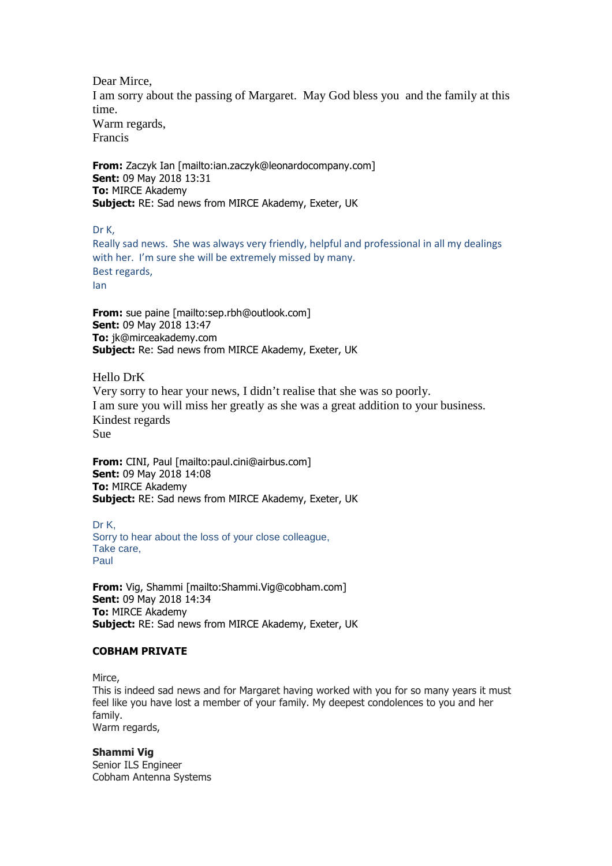Dear Mirce, I am sorry about the passing of Margaret. May God bless you and the family at this time. Warm regards, Francis

**From:** Zaczyk Ian [mailto:ian.zaczyk@leonardocompany.com] **Sent:** 09 May 2018 13:31 **To:** MIRCE Akademy **Subject:** RE: Sad news from MIRCE Akademy, Exeter, UK

Dr K,

Really sad news. She was always very friendly, helpful and professional in all my dealings with her. I'm sure she will be extremely missed by many. Best regards, Ian

**From:** sue paine [mailto:sep.rbh@outlook.com] **Sent:** 09 May 2018 13:47 **To:** jk@mirceakademy.com **Subject:** Re: Sad news from MIRCE Akademy, Exeter, UK

Hello DrK

Very sorry to hear your news, I didn't realise that she was so poorly. I am sure you will miss her greatly as she was a great addition to your business. Kindest regards Sue

**From:** CINI, Paul [mailto:paul.cini@airbus.com] **Sent:** 09 May 2018 14:08 **To:** MIRCE Akademy **Subject:** RE: Sad news from MIRCE Akademy, Exeter, UK

Dr K, Sorry to hear about the loss of your close colleague, Take care, Paul

**From:** Vig, Shammi [mailto:Shammi.Vig@cobham.com] **Sent:** 09 May 2018 14:34 **To:** MIRCE Akademy **Subject:** RE: Sad news from MIRCE Akademy, Exeter, UK

## **COBHAM PRIVATE**

Mirce,

This is indeed sad news and for Margaret having worked with you for so many years it must feel like you have lost a member of your family. My deepest condolences to you and her family. Warm regards,

### **Shammi Vig**

Senior ILS Engineer Cobham Antenna Systems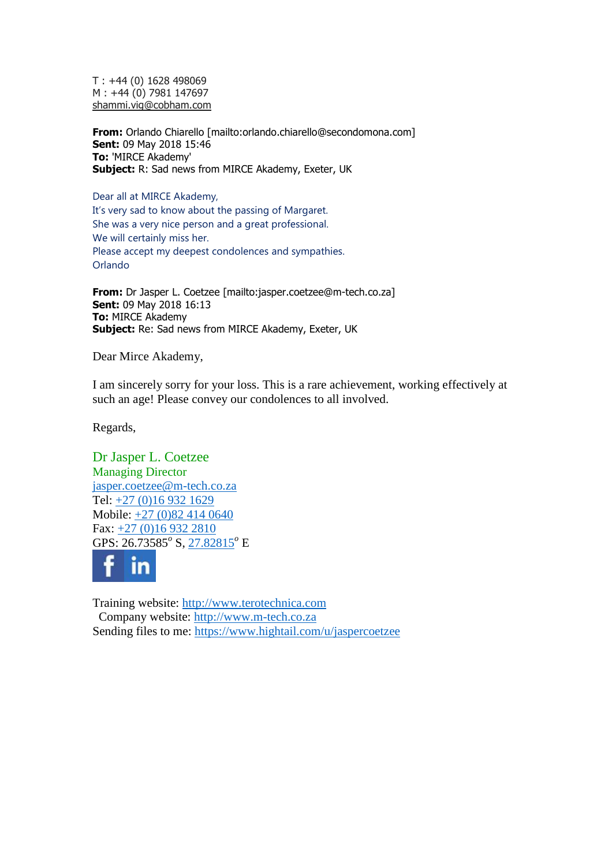T : +44 (0) 1628 498069 M : +44 (0) 7981 147697 shammi.vig@cobham.com

**From:** Orlando Chiarello [mailto:orlando.chiarello@secondomona.com] **Sent:** 09 May 2018 15:46 **To:** 'MIRCE Akademy' **Subject:** R: Sad news from MIRCE Akademy, Exeter, UK

Dear all at MIRCE Akademy, It's very sad to know about the passing of Margaret. She was a very nice person and a great professional. We will certainly miss her. Please accept my deepest condolences and sympathies. Orlando

**From:** Dr Jasper L. Coetzee [mailto:jasper.coetzee@m-tech.co.za] **Sent:** 09 May 2018 16:13 **To:** MIRCE Akademy **Subject:** Re: Sad news from MIRCE Akademy, Exeter, UK

Dear Mirce Akademy,

I am sincerely sorry for your loss. This is a rare achievement, working effectively at such an age! Please convey our condolences to all involved.

Regards,

Dr Jasper L. Coetzee Managing Director jasper.coetzee@m-tech.co.za Tel: +27 (0)16 932 1629 Mobile: +27 (0)82 414 0640 Fax: +27 (0)16 932 2810 GPS: 26.73585<sup>o</sup> S, 27.82815<sup>o</sup> E



Training website: http://www.terotechnica.com Company website: http://www.m-tech.co.za Sending files to me: https://www.hightail.com/u/jaspercoetzee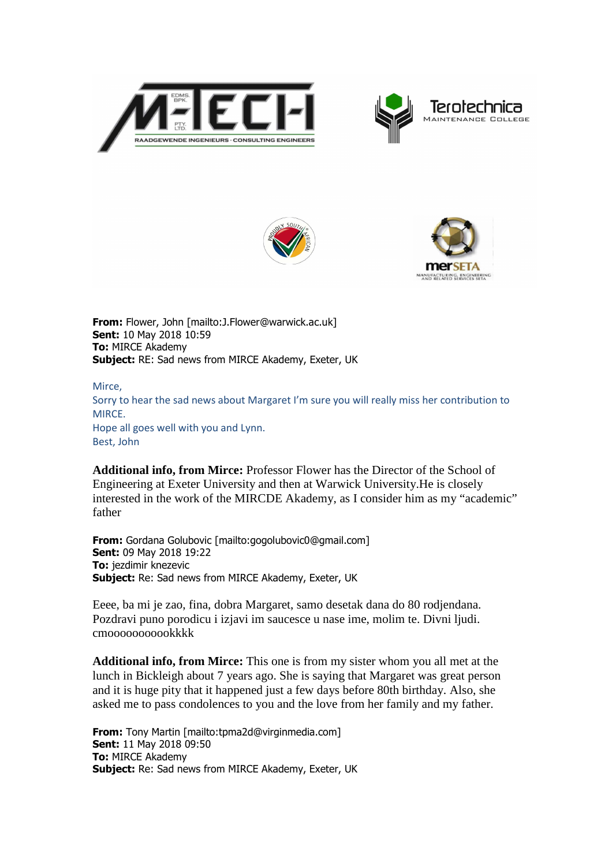







**From:** Flower, John [mailto:J.Flower@warwick.ac.uk] **Sent:** 10 May 2018 10:59 **To:** MIRCE Akademy **Subject:** RE: Sad news from MIRCE Akademy, Exeter, UK

Mirce, Sorry to hear the sad news about Margaret I'm sure you will really miss her contribution to MIRCE. Hope all goes well with you and Lynn. Best, John

**Additional info, from Mirce:** Professor Flower has the Director of the School of Engineering at Exeter University and then at Warwick University.He is closely interested in the work of the MIRCDE Akademy, as I consider him as my "academic" father

**From:** Gordana Golubovic [mailto:gogolubovic0@gmail.com] **Sent:** 09 May 2018 19:22 **To:** jezdimir knezevic **Subject:** Re: Sad news from MIRCE Akademy, Exeter, UK

Eeee, ba mi je zao, fina, dobra Margaret, samo desetak dana do 80 rodjendana. Pozdravi puno porodicu i izjavi im saucesce u nase ime, molim te. Divni ljudi. cmooooooooookkkk

**Additional info, from Mirce:** This one is from my sister whom you all met at the lunch in Bickleigh about 7 years ago. She is saying that Margaret was great person and it is huge pity that it happened just a few days before 80th birthday. Also, she asked me to pass condolences to you and the love from her family and my father.

**From:** Tony Martin [mailto:tpma2d@virginmedia.com] **Sent:** 11 May 2018 09:50 **To:** MIRCE Akademy **Subject:** Re: Sad news from MIRCE Akademy, Exeter, UK